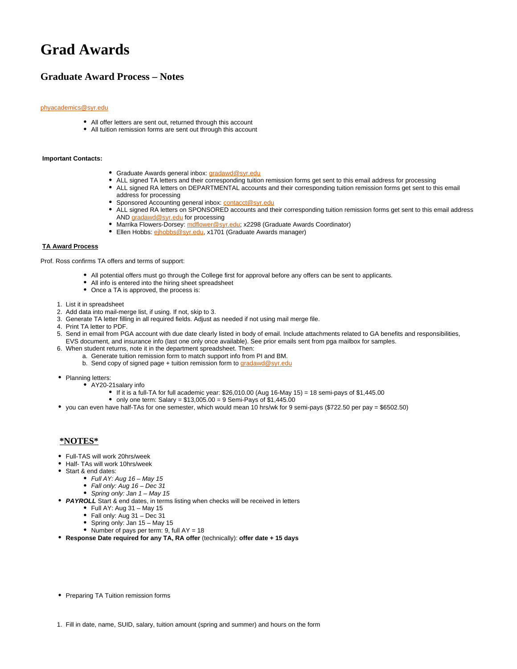# **Grad Awards**

## **Graduate Award Process – Notes**

#### [phyacademics@syr.edu](mailto:pga@syr.edu)

- All offer letters are sent out, returned through this account
- All tuition remission forms are sent out through this account

#### **Important Contacts:**

- Graduate Awards general inbox: [gradawd@syr.edu](mailto:gradawd@syr.edu)
- ALL signed TA letters and their corresponding tuition remission forms get sent to this email address for processing
- ALL signed RA letters on DEPARTMENTAL accounts and their corresponding tuition remission forms get sent to this email address for processing
- Sponsored Accounting general inbox: [contacct@syr.edu](mailto:contacct@syr.edu)
- ALL signed RA letters on SPONSORED accounts and their corresponding tuition remission forms get sent to this email address AND [gradawd@syr.edu](mailto:gradawd@syr.edu) for processing
- Marrika Flowers-Dorsey: [mdflower@syr.edu](mailto:mdflower@syr.edu); x2298 (Graduate Awards Coordinator)
- **Ellen Hobbs: [ejhobbs@syr.edu](mailto:ejhobbs@syr.edu), x1701 (Graduate Awards manager)**

#### **TA Award Process**

Prof. Ross confirms TA offers and terms of support:

- All potential offers must go through the College first for approval before any offers can be sent to applicants.
- All info is entered into the hiring sheet spreadsheet
- Once a TA is approved, the process is:
- 1. List it in spreadsheet
- 2. Add data into mail-merge list, if using. If not, skip to 3.
- 3. Generate TA letter filling in all required fields. Adjust as needed if not using mail merge file.
- 4. Print TA letter to PDF.
- 5. Send in email from PGA account with due date clearly listed in body of email. Include attachments related to GA benefits and responsibilities, EVS document, and insurance info (last one only once available). See prior emails sent from pga mailbox for samples.
- 6. When student returns, note it in the department spreadsheet. Then:
	- a. Generate tuition remission form to match support info from PI and BM.
		- b. Send copy of signed page + tuition remission form to [gradawd@syr.edu](mailto:gradawd@syr.edu)
- Planning letters:
	- AY20-21salary info
	- If it is a full-TA for full academic year:  $$26,010.00$  (Aug 16-May 15) = 18 semi-pays of  $$1,445.00$ 
		- only one term: Salary =  $$13,005.00 = 9$  Semi-Pays of  $$1,445.00$
- you can even have half-TAs for one semester, which would mean 10 hrs/wk for 9 semi-pays (\$722.50 per pay = \$6502.50)

### **\*NOTES\***

- Full-TAS will work 20hrs/week
- Half- TAs will work 10hrs/week
- Start & end dates:
	- $\bullet$  Full AY: Aug 16 May 15
	- Fall only: Aug 16 Dec 31
	- Spring only: Jan  $1 May 15$
- **PAYROLL** Start & end dates, in terms listing when checks will be received in letters
	- $\bullet$  Full AY: Aug 31 May 15
	- Fall only: Aug 31 Dec 31
	- Spring only: Jan 15 May 15
	- Number of pays per term:  $9$ , full  $AY = 18$
- **Response Date required for any TA, RA offer** (technically): **offer date + 15 days**
- Preparing TA Tuition remission forms
- 1. Fill in date, name, SUID, salary, tuition amount (spring and summer) and hours on the form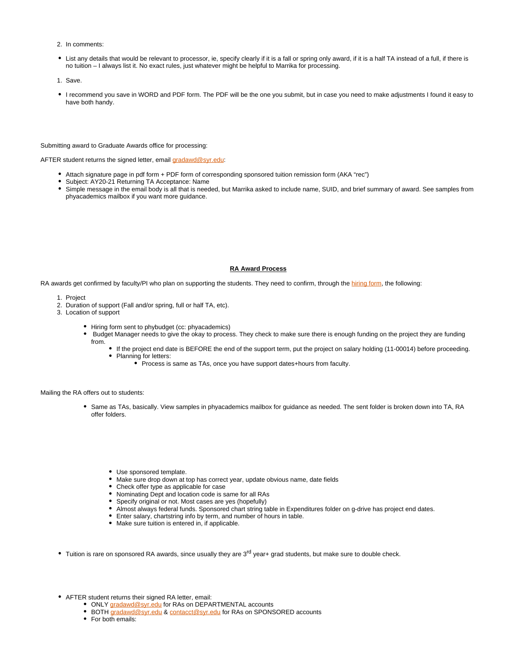- 2. In comments:
- List any details that would be relevant to processor, ie, specify clearly if it is a fall or spring only award, if it is a half TA instead of a full, if there is no tuition – I always list it. No exact rules, just whatever might be helpful to Marrika for processing.
- 1. Save.
- I recommend you save in WORD and PDF form. The PDF will be the one you submit, but in case you need to make adjustments I found it easy to have both handy.

#### Submitting award to Graduate Awards office for processing:

AFTER student returns the signed letter, email [gradawd@syr.edu](mailto:gradawd@syr.edu):

- Attach signature page in pdf form + PDF form of corresponding sponsored tuition remission form (AKA "rec")
- Subject: AY20-21 Returning TA Acceptance: Name
- Simple message in the email body is all that is needed, but Marrika asked to include name, SUID, and brief summary of award. See samples from phyacademics mailbox if you want more guidance.

#### **RA Award Process**

RA awards get confirmed by faculty/PI who plan on supporting the students. They need to confirm, through the [hiring form,](https://its-forms.syr.edu/frevvo/web/tn/SUFS/u/4de9dc29-f1ee-4128-8dee-6443484fe8de/app/_YExTUEiAEeqUbJLIib541A/formtype/_-5t48LO6Eem9J7NuE0QaUg/popupform) the following:

- 1. Project
- 2. Duration of support (Fall and/or spring, full or half TA, etc).
- 3. Location of support
	- Hiring form sent to phybudget (cc: phyacademics)
	- Budget Manager needs to give the okay to process. They check to make sure there is enough funding on the project they are funding from.
		- If the project end date is BEFORE the end of the support term, put the project on salary holding (11-00014) before proceeding.
		- Planning for letters:
			- Process is same as TAs, once you have support dates+hours from faculty.

Mailing the RA offers out to students:

- Same as TAs, basically. View samples in phyacademics mailbox for guidance as needed. The sent folder is broken down into TA, RA offer folders.
	- Use sponsored template.
	- Make sure drop down at top has correct year, update obvious name, date fields
	- Check offer type as applicable for case
	- Nominating Dept and location code is same for all RAs
	- Specify original or not. Most cases are yes (hopefully)
	- Almost always federal funds. Sponsored chart string table in Expenditures folder on g-drive has project end dates.
	- Enter salary, chartstring info by term, and number of hours in table.
	- Make sure tuition is entered in, if applicable.
- Tuition is rare on sponsored RA awards, since usually they are 3<sup>rd</sup> year+ grad students, but make sure to double check.
- AFTER student returns their signed RA letter, email:
	- ONLY [gradawd@syr.edu](mailto:gradawd@syr.edu) for RAs on DEPARTMENTAL accounts
	- BOTH [gradawd@syr.edu](mailto:gradawd@syr.edu) & [contacct@syr.edu](mailto:contacct@syr.edu) for RAs on SPONSORED accounts
	- For both emails: